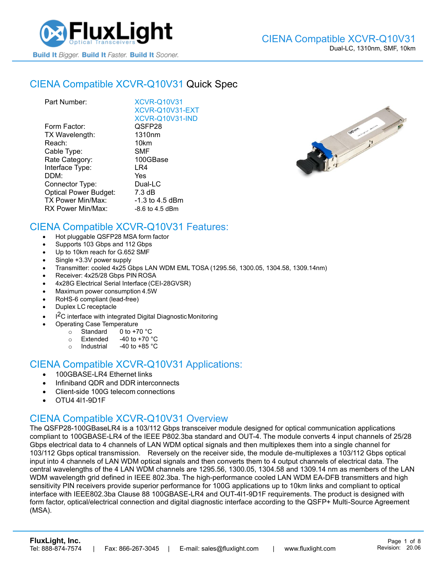

## CIENA [Compatible XCVR-Q10V31](https://www.fluxlight.com/XCVR-Q10V31/) Quick Spec

| Part Number:                 | <b>XCVR-Q10V31</b> |
|------------------------------|--------------------|
|                              | XCVR-Q10V31-EXT    |
|                              | XCVR-Q10V31-IND    |
| Form Factor:                 | QSFP28             |
| TX Wavelength:               | 1310 <sub>nm</sub> |
| Reach:                       | 10km               |
| Cable Type:                  | SMF                |
| Rate Category:               | 100GBase           |
| Interface Type:              | LR4                |
| DDM:                         | Yes                |
| Connector Type:              | Dual-LC            |
| <b>Optical Power Budget:</b> | $7.3 \text{ dB}$   |
| <b>TX Power Min/Max:</b>     | -1.3 to 4.5 dBm    |
| RX Power Min/Max:            | $-8.6$ to 4.5 dBm  |
|                              |                    |



#### CIENA Compatible [XCVR-Q10V31](https://www.fluxlight.com/XCVR-Q10V31/) Features:

- Hot pluggable QSFP28 MSA form factor
- Supports 103 Gbps and 112 Gbps
- Up to 10km reach for G.652 SMF
- Single +3.3V power supply
- Transmitter: cooled 4x25 Gbps LAN WDM EML TOSA (1295.56, 1300.05, 1304.58, 1309.14nm)
- Receiver: 4x25/28 Gbps PIN ROSA
- 4x28G Electrical Serial Interface (CEI-28GVSR)
- Maximum power consumption 4.5W
- RoHS-6 compliant (lead-free)
- Duplex LC receptacle
- I<sup>2</sup>C interface with integrated Digital Diagnostic Monitoring
	- Operating Case Temperature
		- o Standard 0 to +70 °C
		- $\circ$  Extended -40 to +70  $\degree$ C
		- o Industrial  $-40$  to  $+85$  °C

#### CIENA Compatible [XCVR-Q10V31](https://www.fluxlight.com/XCVR-Q10V31/) Applications:

- 100GBASE-LR4 Ethernet links
- Infiniband QDR and DDR interconnects
- Client-side 100G telecom connections
- OTU4 4l1-9D1F

### CIENA Compatible [XCVR-Q10V31](https://www.fluxlight.com/XCVR-Q10V31/) Overview

The QSFP28-100GBaseLR4 is a 103/112 Gbps transceiver module designed for optical communication applications compliant to 100GBASE-LR4 of the IEEE P802.3ba standard and OUT-4. The module converts 4 input channels of 25/28 Gbps electrical data to 4 channels of LAN WDM optical signals and then multiplexes them into a single channel for 103/112 Gbps optical transmission. Reversely on the receiver side, the module de-multiplexes a 103/112 Gbps optical input into 4 channels of LAN WDM optical signals and then converts them to 4 output channels of electrical data. The central wavelengths of the 4 LAN WDM channels are 1295.56, 1300.05, 1304.58 and 1309.14 nm as members of the LAN WDM wavelength grid defined in IEEE 802.3ba. The high-performance cooled LAN WDM EA-DFB transmitters and high sensitivity PIN receivers provide superior performance for 100G applications up to 10km links and compliant to optical interface with IEEE802.3ba Clause 88 100GBASE-LR4 and OUT-4l1-9D1F requirements. The product is designed with form factor, optical/electrical connection and digital diagnostic interface according to the QSFP+ Multi-Source Agreement (MSA).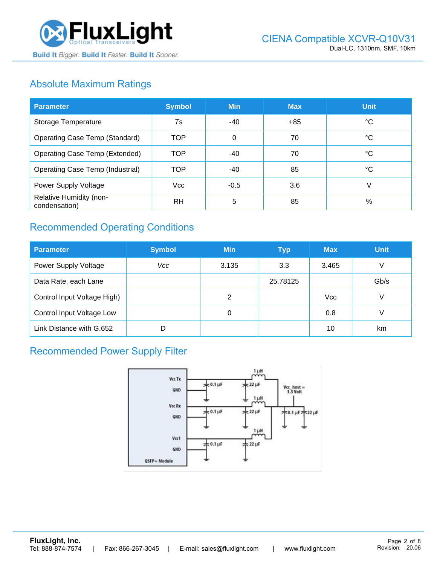

# Absolute Maximum Ratings

| <b>Parameter</b>                         | <b>Symbol</b> | <b>Min</b> | <b>Max</b> | <b>Unit</b> |
|------------------------------------------|---------------|------------|------------|-------------|
| Storage Temperature                      | Ts            | -40        | $+85$      | ℃           |
| <b>Operating Case Temp (Standard)</b>    | <b>TOP</b>    | $\Omega$   | 70         | °C          |
| <b>Operating Case Temp (Extended)</b>    | <b>TOP</b>    | $-40$      | 70         | °C          |
| <b>Operating Case Temp (Industrial)</b>  | <b>TOP</b>    | -40        | 85         | °C          |
| Power Supply Voltage                     | <b>Vcc</b>    | $-0.5$     | 3.6        | V           |
| Relative Humidity (non-<br>condensation) | <b>RH</b>     | 5          | 85         | %           |

# Recommended Operating Conditions

| <b>Parameter</b>                 | <b>Symbol</b> | <b>Min</b> | <b>Typ</b> | <b>Max</b> | <b>Unit</b> |
|----------------------------------|---------------|------------|------------|------------|-------------|
| Power Supply Voltage             | Vcc           | 3.135      | 3.3        | 3.465      | V           |
| Data Rate, each Lane             |               |            | 25.78125   |            | Gb/s        |
| Control Input Voltage High)      |               | 2          |            | <b>Vcc</b> | V           |
| <b>Control Input Voltage Low</b> |               | 0          |            | 0.8        | V           |
| Link Distance with G.652         | D             |            |            | 10         | km          |

## Recommended Power Supply Filter

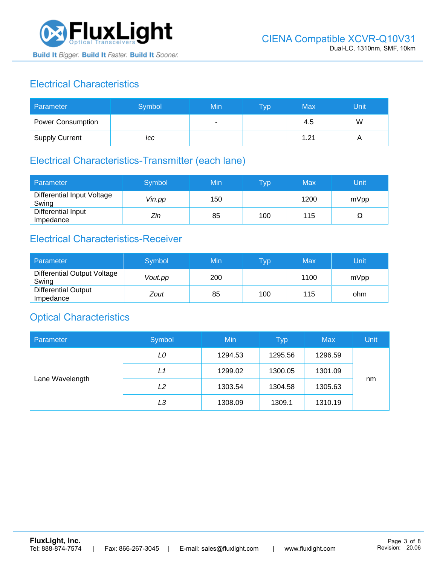

# Electrical Characteristics

| Parameter                | Symbol | Min | <b>Typ</b> | Max  | Unit |
|--------------------------|--------|-----|------------|------|------|
| <b>Power Consumption</b> |        |     |            | 4.5  | W    |
| <b>Supply Current</b>    | ICC    |     |            | 1.21 |      |

# Electrical Characteristics-Transmitter (each lane)

| Parameter                           | Symbol | Min | $\overline{\mathsf{T}}\mathsf{yp}$ | Max  | Unit |
|-------------------------------------|--------|-----|------------------------------------|------|------|
| Differential Input Voltage<br>Swing | Vin.pp | 150 |                                    | 1200 | mVpp |
| Differential Input<br>Impedance     | Zin    | 85  | 100                                | 115  | 77   |

## Electrical Characteristics-Receiver

| Parameter                               | Symbol  | Min | Typ | Max  | Unit |
|-----------------------------------------|---------|-----|-----|------|------|
| Differential Output Voltage<br>Swing    | Vout.pp | 200 |     | 1100 | mVpp |
| <b>Differential Output</b><br>Impedance | Zout    | 85  | 100 | 115  | ohm  |

### Optical Characteristics

| Parameter       | Symbol | Min     | <b>Typ</b> | <b>Max</b> | Unit |
|-----------------|--------|---------|------------|------------|------|
| Lane Wavelength | LO     | 1294.53 | 1295.56    | 1296.59    |      |
|                 | L1     | 1299.02 | 1300.05    | 1301.09    |      |
|                 | L2     | 1303.54 | 1304.58    | 1305.63    | nm   |
|                 | LЗ     | 1308.09 | 1309.1     | 1310.19    |      |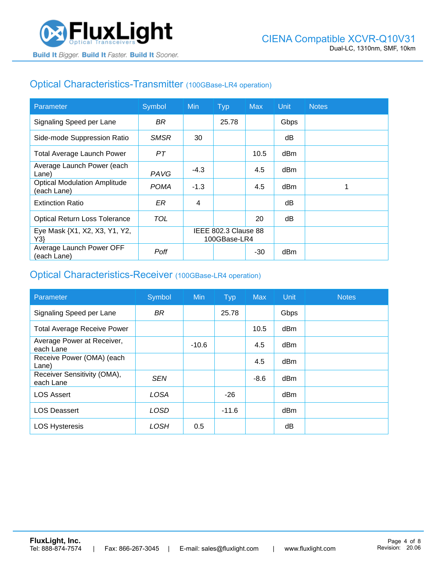## Optical Characteristics-Transmitter (100GBase-LR4 operation)

| Parameter                                          | Symbol      | <b>Min</b>                           | <b>Typ</b> | <b>Max</b> | Unit | <b>Notes</b> |
|----------------------------------------------------|-------------|--------------------------------------|------------|------------|------|--------------|
| Signaling Speed per Lane                           | BR.         |                                      | 25.78      |            | Gbps |              |
| Side-mode Suppression Ratio                        | <b>SMSR</b> | 30                                   |            |            | dB   |              |
| <b>Total Average Launch Power</b>                  | PТ          |                                      |            | 10.5       | dBm  |              |
| Average Launch Power (each<br>Lane)                | PAVG        | $-4.3$                               |            | 4.5        | dBm  |              |
| <b>Optical Modulation Amplitude</b><br>(each Lane) | <b>POMA</b> | $-1.3$                               |            | 4.5        | dBm  |              |
| <b>Extinction Ratio</b>                            | ER          | 4                                    |            |            | dВ   |              |
| <b>Optical Return Loss Tolerance</b>               | TOL         |                                      |            | 20         | dB   |              |
| Eye Mask {X1, X2, X3, Y1, Y2,<br>Y3                |             | IEEE 802.3 Clause 88<br>100GBase-LR4 |            |            |      |              |
| Average Launch Power OFF<br>(each Lane)            | Poff        |                                      |            | $-30$      | dBm  |              |

#### Optical Characteristics-Receiver (100GBase-LR4 operation)

| Parameter                                | Symbol      | <b>Min</b> | <b>Typ</b> | <b>Max</b> | Unit            | <b>Notes</b> |
|------------------------------------------|-------------|------------|------------|------------|-----------------|--------------|
| Signaling Speed per Lane                 | <b>BR</b>   |            | 25.78      |            | Gbps            |              |
| <b>Total Average Receive Power</b>       |             |            |            | 10.5       | dBm             |              |
| Average Power at Receiver,<br>each Lane  |             | $-10.6$    |            | 4.5        | dBm             |              |
| Receive Power (OMA) (each<br>Lane)       |             |            |            | 4.5        | dBm             |              |
| Receiver Sensitivity (OMA),<br>each Lane | <b>SEN</b>  |            |            | $-8.6$     | dB <sub>m</sub> |              |
| <b>LOS Assert</b>                        | <b>LOSA</b> |            | $-26$      |            | dBm             |              |
| <b>LOS Deassert</b>                      | LOSD        |            | $-11.6$    |            | dBm             |              |
| <b>LOS Hysteresis</b>                    | LOSH        | 0.5        |            |            | dΒ              |              |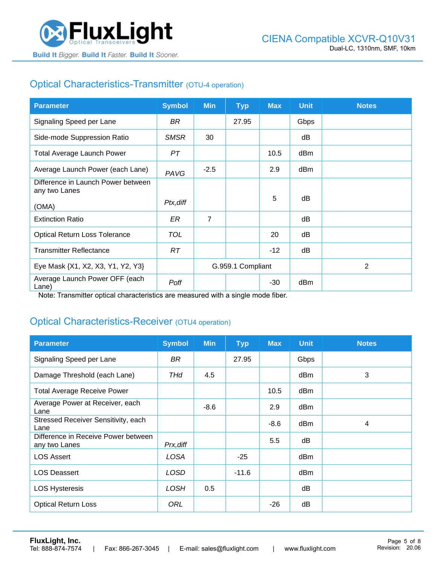

# Optical Characteristics-Transmitter (OTU-4 operation)

| <b>Parameter</b>                                    | <b>Symbol</b> | <b>Min</b>        | Typ   | <b>Max</b> | <b>Unit</b> | <b>Notes</b>   |
|-----------------------------------------------------|---------------|-------------------|-------|------------|-------------|----------------|
| Signaling Speed per Lane                            | BR            |                   | 27.95 |            | Gbps        |                |
| Side-mode Suppression Ratio                         | <b>SMSR</b>   | 30                |       |            | dB          |                |
| <b>Total Average Launch Power</b>                   | PТ            |                   |       | 10.5       | dBm         |                |
| Average Launch Power (each Lane)                    | PAVG          | $-2.5$            |       | 2.9        | dBm         |                |
| Difference in Launch Power between<br>any two Lanes |               |                   |       |            |             |                |
| (OMA)                                               | Ptx, diff     |                   |       | 5          | dB          |                |
| <b>Extinction Ratio</b>                             | ER            | $\overline{7}$    |       |            | dB          |                |
| <b>Optical Return Loss Tolerance</b>                | <b>TOL</b>    |                   |       | 20         | dB          |                |
| <b>Transmitter Reflectance</b>                      | RT.           |                   |       | $-12$      | dB          |                |
| Eye Mask {X1, X2, X3, Y1, Y2, Y3}                   |               | G.959.1 Compliant |       |            |             | $\overline{2}$ |
| Average Launch Power OFF (each<br>Lane)             | Poff          |                   |       | -30        | dBm         |                |

Note: Transmitter optical characteristics are measured with a single mode fiber.

### Optical Characteristics-Receiver (OTU4 operation)

| <b>Parameter</b>                                     | <b>Symbol</b> | <b>Min</b> | <b>Typ</b> | <b>Max</b> | <b>Unit</b> | <b>Notes</b> |
|------------------------------------------------------|---------------|------------|------------|------------|-------------|--------------|
| Signaling Speed per Lane                             | BR            |            | 27.95      |            | Gbps        |              |
| Damage Threshold (each Lane)                         | THd           | 4.5        |            |            | dBm         | 3            |
| <b>Total Average Receive Power</b>                   |               |            |            | 10.5       | dBm         |              |
| Average Power at Receiver, each<br>Lane              |               | $-8.6$     |            | 2.9        | dBm         |              |
| Stressed Receiver Sensitivity, each<br>Lane          |               |            |            | $-8.6$     | dBm         | 4            |
| Difference in Receive Power between<br>any two Lanes | Prx, diff     |            |            | 5.5        | dB          |              |
| <b>LOS Assert</b>                                    | LOSA          |            | $-25$      |            | dBm         |              |
| <b>LOS Deassert</b>                                  | <b>LOSD</b>   |            | $-11.6$    |            | dBm         |              |
| <b>LOS Hysteresis</b>                                | LOSH          | 0.5        |            |            | dB          |              |
| <b>Optical Return Loss</b>                           | ORL           |            |            | $-26$      | dB          |              |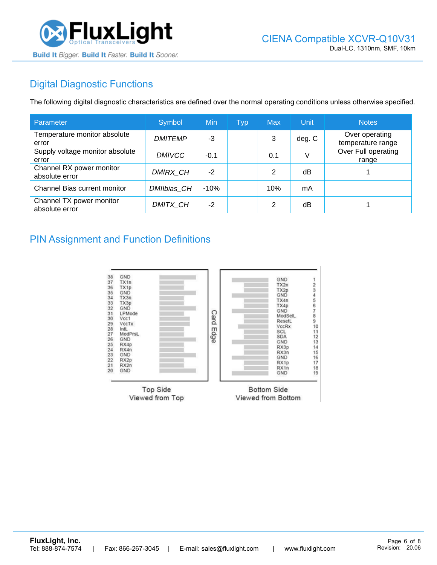

# Digital Diagnostic Functions

The following digital diagnostic characteristics are defined over the normal operating conditions unless otherwise specified.

| Parameter                                  | Symbol         | Min    | <b>Typ</b> | <b>Max</b> | Unit   | <b>Notes</b>                        |
|--------------------------------------------|----------------|--------|------------|------------|--------|-------------------------------------|
| Temperature monitor absolute<br>error      | <b>DMITEMP</b> | -3     |            | 3          | deg. C | Over operating<br>temperature range |
| Supply voltage monitor absolute<br>error   | <b>DMIVCC</b>  | $-0.1$ |            | 0.1        | V      | Over Full operating<br>range        |
| Channel RX power monitor<br>absolute error | DMIRX_CH       | $-2$   |            | 2          | dB     |                                     |
| Channel Bias current monitor               | DMIIbias CH    | $-10%$ |            | 10%        | mA     |                                     |
| Channel TX power monitor<br>absolute error | DMITX CH       | $-2$   |            | 2          | dB     |                                     |

#### PIN Assignment and Function Definitions

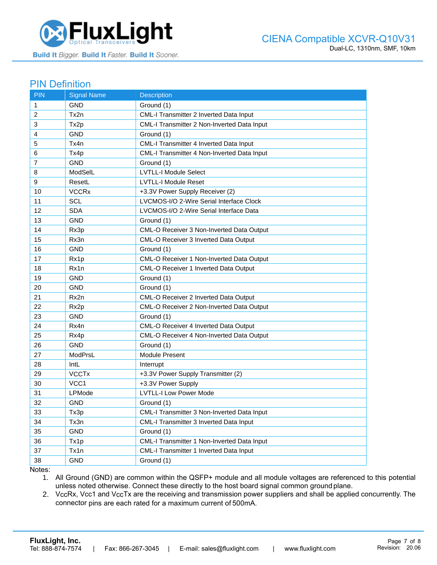

#### PIN Definition

| <b>PIN</b>     | <b>Signal Name</b>      | <b>Description</b>                                 |
|----------------|-------------------------|----------------------------------------------------|
| $\mathbf{1}$   | GND                     | Ground (1)                                         |
| 2              | Tx2n                    | CML-I Transmitter 2 Inverted Data Input            |
| 3              | Tx2p                    | <b>CML-I Transmitter 2 Non-Inverted Data Input</b> |
| 4              | <b>GND</b>              | Ground (1)                                         |
| 5              | Tx4n                    | CML-I Transmitter 4 Inverted Data Input            |
| 6              | Tx4p                    | CML-I Transmitter 4 Non-Inverted Data Input        |
| $\overline{7}$ | <b>GND</b>              | Ground (1)                                         |
| 8              | ModSelL                 | <b>LVTLL-I Module Select</b>                       |
| 9              | ResetL                  | <b>LVTLL-I Module Reset</b>                        |
| 10             | <b>VCCRx</b>            | +3.3V Power Supply Receiver (2)                    |
| 11             | SCL                     | LVCMOS-I/O 2-Wire Serial Interface Clock           |
| 12             | <b>SDA</b>              | LVCMOS-I/O 2-Wire Serial Interface Data            |
| 13             | <b>GND</b>              | Ground (1)                                         |
| 14             | Rx3p                    | CML-O Receiver 3 Non-Inverted Data Output          |
| 15             | Rx3n                    | <b>CML-O Receiver 3 Inverted Data Output</b>       |
| 16             | <b>GND</b>              | Ground (1)                                         |
| 17             | Rx1p                    | CML-O Receiver 1 Non-Inverted Data Output          |
| 18             | Rx1n                    | CML-O Receiver 1 Inverted Data Output              |
| 19             | <b>GND</b>              | Ground (1)                                         |
| 20             | <b>GND</b>              | Ground (1)                                         |
| 21             | Rx2n                    | CML-O Receiver 2 Inverted Data Output              |
| 22             | Rx2p                    | CML-O Receiver 2 Non-Inverted Data Output          |
| 23             | <b>GND</b>              | Ground (1)                                         |
| 24             | Rx4n                    | CML-O Receiver 4 Inverted Data Output              |
| 25             | Rx4p                    | CML-O Receiver 4 Non-Inverted Data Output          |
| 26             | <b>GND</b>              | Ground (1)                                         |
| 27             | ModPrsL                 | <b>Module Present</b>                              |
| 28             | IntL                    | Interrupt                                          |
| 29             | <b>VCCT<sub>x</sub></b> | +3.3V Power Supply Transmitter (2)                 |
| 30             | VCC <sub>1</sub>        | +3.3V Power Supply                                 |
| 31             | LPMode                  | <b>LVTLL-I Low Power Mode</b>                      |
| 32             | <b>GND</b>              | Ground (1)                                         |
| 33             | Tx3p                    | CML-I Transmitter 3 Non-Inverted Data Input        |
| 34             | Tx3n                    | CML-I Transmitter 3 Inverted Data Input            |
| 35             | <b>GND</b>              | Ground (1)                                         |
| 36             | Tx1p                    | CML-I Transmitter 1 Non-Inverted Data Input        |
| 37             | Tx1n                    | CML-I Transmitter 1 Inverted Data Input            |
| 38             | <b>GND</b>              | Ground (1)                                         |

Notes:

1. All Ground (GND) are common within the QSFP+ module and all module voltages are referenced to this potential unless noted otherwise. Connect these directly to the host board signal common ground plane.

2. VccRx, Vcc1 and VccTx are the receiving and transmission power suppliers and shall be applied concurrently. The connector pins are each rated for a maximum current of 500mA.